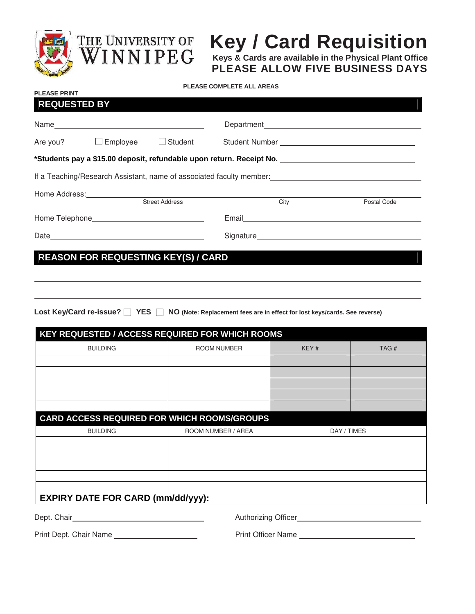

**PLEASE PRINT** 



## **Key / Card Requisition**

**Keys & Cards are available in the Physical Plant Office PLEASE ALLOW FIVE BUSINESS DAYS**

## **PLEASE COMPLETE ALL AREAS**

| <b>REQUESTED BY</b>                                                                                                                                                                                                            |                 |                       |                               |             |  |  |
|--------------------------------------------------------------------------------------------------------------------------------------------------------------------------------------------------------------------------------|-----------------|-----------------------|-------------------------------|-------------|--|--|
|                                                                                                                                                                                                                                |                 |                       |                               |             |  |  |
| Are you?                                                                                                                                                                                                                       | $\Box$ Employee | $\Box$ Student        |                               |             |  |  |
| *Students pay a \$15.00 deposit, refundable upon return. Receipt No. _______________________________                                                                                                                           |                 |                       |                               |             |  |  |
| If a Teaching/Research Assistant, name of associated faculty member:                                                                                                                                                           |                 |                       |                               |             |  |  |
|                                                                                                                                                                                                                                |                 |                       |                               |             |  |  |
|                                                                                                                                                                                                                                |                 | <b>Street Address</b> | City                          | Postal Code |  |  |
|                                                                                                                                                                                                                                |                 |                       | Email <b>Exercise Service</b> |             |  |  |
| Date experience and the contract of the contract of the contract of the contract of the contract of the contract of the contract of the contract of the contract of the contract of the contract of the contract of the contra |                 |                       |                               |             |  |  |
|                                                                                                                                                                                                                                |                 |                       |                               |             |  |  |

**REASON FOR REQUESTING KEY(S) / CARD** 

Lost Key/Card re-issue? <sup>YES</sup> NO (Note: Replacement fees are in effect for lost keys/cards. See reverse)

| <b>KEY REQUESTED / ACCESS REQUIRED FOR WHICH ROOMS</b> |                    |             |      |  |  |
|--------------------------------------------------------|--------------------|-------------|------|--|--|
| <b>BUILDING</b>                                        | ROOM NUMBER        | KEY#        | TAG# |  |  |
|                                                        |                    |             |      |  |  |
|                                                        |                    |             |      |  |  |
|                                                        |                    |             |      |  |  |
|                                                        |                    |             |      |  |  |
|                                                        |                    |             |      |  |  |
| <b>CARD ACCESS REQUIRED FOR WHICH ROOMS/GROUPS</b>     |                    |             |      |  |  |
| <b>BUILDING</b>                                        | ROOM NUMBER / AREA | DAY / TIMES |      |  |  |
|                                                        |                    |             |      |  |  |
|                                                        |                    |             |      |  |  |
|                                                        |                    |             |      |  |  |
|                                                        |                    |             |      |  |  |
|                                                        |                    |             |      |  |  |
| <b>EXPIRY DATE FOR CARD (mm/dd/yyy):</b>               |                    |             |      |  |  |

Dept. Chair **Mullet Chair Authorizing Officer Authorizing Officer Authorizing Officer** 

Print Dept. Chair Name Print Officer Name Print Officer Name Print Officer Name Print Officer Name Print Officer Name Print Officer Name Print Officer Name Print Officer Name Print Officer Name Print Officer Name Print Off